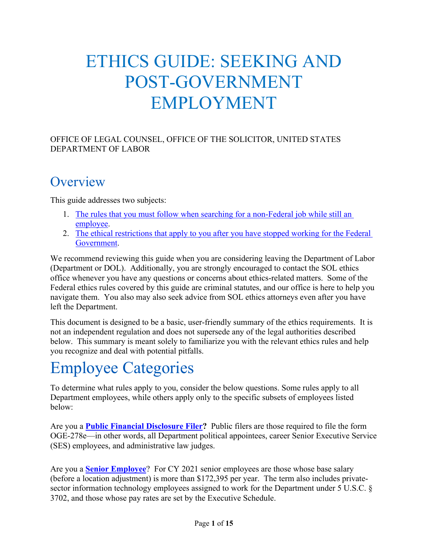# ETHICS GUIDE: SEEKING AND POST-GOVERNMENT EMPLOYMENT

OFFICE OF LEGAL COUNSEL, OFFICE OF THE SOLICITOR, UNITED STATES DEPARTMENT OF LABOR

## **Overview**

This guide addresses two subjects:

- 1. [The rules that you must follow when searching for a non-Federal job while still an](#page-3-0)  [employee.](#page-3-0)
- 2. [The ethical restrictions that apply to you after you have stopped working for](#page-8-0) the Federal [Government.](#page-8-0)

We recommend reviewing this guide when you are considering leaving the Department of Labor (Department or DOL). Additionally, you are strongly encouraged to contact the SOL ethics office whenever you have any questions or concerns about ethics-related matters. Some of the Federal ethics rules covered by this guide are criminal statutes, and our office is here to help you navigate them. You also may also seek advice from SOL ethics attorneys even after you have left the Department.

This document is designed to be a basic, user-friendly summary of the ethics requirements. It is not an independent regulation and does not supersede any of the legal authorities described below. This summary is meant solely to familiarize you with the relevant ethics rules and help you recognize and deal with potential pitfalls.

# Employee Categories

To determine what rules apply to you, consider the below questions. Some rules apply to all Department employees, while others apply only to the specific subsets of employees listed below:

Are you a **Public [Financial Disclosure](#page-2-0) Filer?** Public filers are those required to file the form OGE-278e—in other words, all Department political appointees, career Senior Executive Service (SES) employees, and administrative law judges.

Are you a **[Senior Employee](#page-2-1)**? For CY 2021 senior employees are those whose base salary (before a location adjustment) is more than \$172,395 per year. The term also includes privatesector information technology employees assigned to work for the Department under 5 U.S.C. § 3702, and those whose pay rates are set by the Executive Schedule.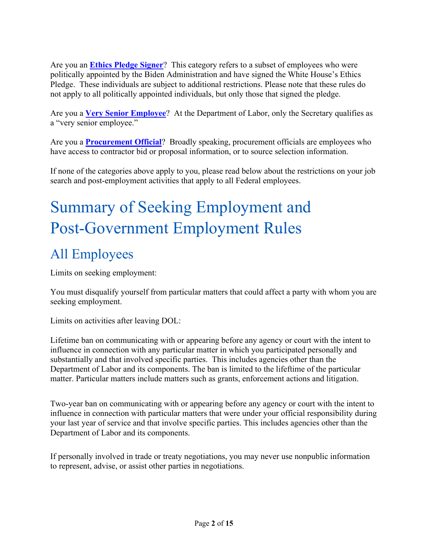Are you an **[Ethics Pledge Signer](#page-2-2)**? This category refers to a subset of employees who were politically appointed by the Biden Administration and have signed the White House's Ethics Pledge. These individuals are subject to additional restrictions. Please note that these rules do not apply to all politically appointed individuals, but only those that signed the pledge.

Are you a **[Very Senior Employee](#page-3-1)**? At the Department of Labor, only the Secretary qualifies as a "very senior employee."

Are you a **[Procurement Official](#page-3-2)**? Broadly speaking, procurement officials are employees who have access to contractor bid or proposal information, or to source selection information.

If none of the categories above apply to you, please read below about the restrictions on your job search and post-employment activities that apply to all Federal employees.

# Summary of Seeking Employment and Post-Government Employment Rules

# All Employees

Limits on seeking employment:

You must disqualify yourself from particular matters that could affect a party with whom you are seeking employment.

Limits on activities after leaving DOL:

Lifetime ban on communicating with or appearing before any agency or court with the intent to influence in connection with any particular matter in which you participated personally and substantially and that involved specific parties. This includes agencies other than the Department of Labor and its components. The ban is limited to the lifeftime of the particular matter. Particular matters include matters such as grants, enforcement actions and litigation.

Two-year ban on communicating with or appearing before any agency or court with the intent to influence in connection with particular matters that were under your official responsibility during your last year of service and that involve specific parties. This includes agencies other than the Department of Labor and its components.

If personally involved in trade or treaty negotiations, you may never use nonpublic information to represent, advise, or assist other parties in negotiations.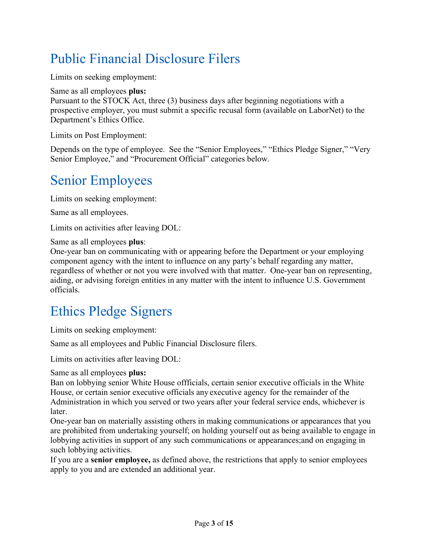# <span id="page-2-0"></span>Public Financial Disclosure Filers

Limits on seeking employment:

Same as all employees **plus:**

Pursuant to the STOCK Act, three (3) business days after beginning negotiations with a prospective employer, you must submit a specific recusal form (available on LaborNet) to the Department's Ethics Office.

Limits on Post Employment:

Depends on the type of employee. See the "Senior Employees," "Ethics Pledge Signer," "Very Senior Employee," and "Procurement Official" categories below.

# <span id="page-2-1"></span>Senior Employees

Limits on seeking employment:

Same as all employees.

Limits on activities after leaving DOL:

Same as all employees **plus**:

One-year ban on communicating with or appearing before the Department or your employing component agency with the intent to influence on any party's behalf regarding any matter, regardless of whether or not you were involved with that matter. One-year ban on representing, aiding, or advising foreign entities in any matter with the intent to influence U.S. Government officials.

# <span id="page-2-2"></span>Ethics Pledge Signers

Limits on seeking employment:

Same as all employees and Public Financial Disclosure filers.

Limits on activities after leaving DOL:

Same as all employees **plus:**

Ban on lobbying senior White House offficials, certain senior executive officials in the White House, or certain senior executive officials any executive agency for the remainder of the Administration in which you served or two years after your federal service ends, whichever is later.

One-year ban on materially assisting others in making communications or appearances that you are prohibited from undertaking yourself; on holding yourself out as being available to engage in lobbying activities in support of any such communications or appearances;and on engaging in such lobbying activities.

If you are a **senior employee,** as defined above, the restrictions that apply to senior employees apply to you and are extended an additional year.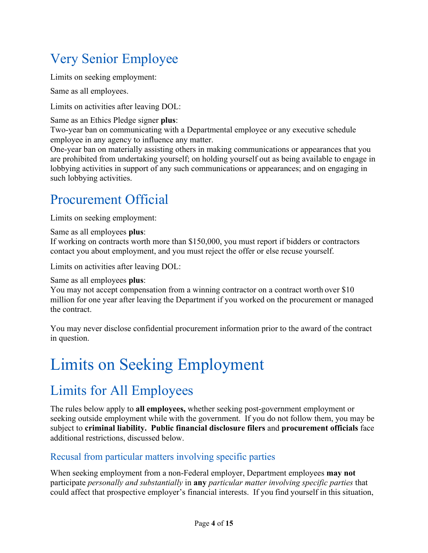# <span id="page-3-1"></span>Very Senior Employee

Limits on seeking employment:

Same as all employees.

Limits on activities after leaving DOL:

#### Same as an Ethics Pledge signer **plus**:

Two-year ban on communicating with a Departmental employee or any executive schedule employee in any agency to influence any matter.

One-year ban on materially assisting others in making communications or appearances that you are prohibited from undertaking yourself; on holding yourself out as being available to engage in lobbying activities in support of any such communications or appearances; and on engaging in such lobbying activities.

## <span id="page-3-2"></span>Procurement Official

Limits on seeking employment:

Same as all employees **plus**:

If working on contracts worth more than \$150,000, you must report if bidders or contractors contact you about employment, and you must reject the offer or else recuse yourself.

Limits on activities after leaving DOL:

#### Same as all employees **plus**:

You may not accept compensation from a winning contractor on a contract worth over \$10 million for one year after leaving the Department if you worked on the procurement or managed the contract.

You may never disclose confidential procurement information prior to the award of the contract in question.

# <span id="page-3-0"></span>Limits on Seeking Employment

# Limits for All Employees

The rules below apply to **all employees,** whether seeking post-government employment or seeking outside employment while with the government. If you do not follow them, you may be subject to **criminal liability. Public financial disclosure filers** and **procurement officials** face additional restrictions, discussed below.

## Recusal from particular matters involving specific parties

When seeking employment from a non-Federal employer, Department employees **may not** participate *personally and substantially* in **any** *particular matter involving specific parties* that could affect that prospective employer's financial interests. If you find yourself in this situation,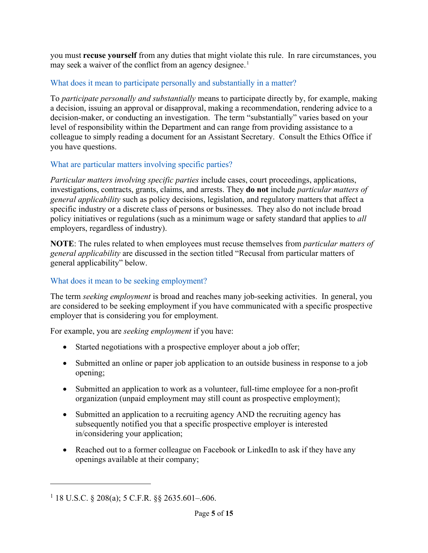you must **recuse yourself** from any duties that might violate this rule. In rare circumstances, you may seek a waiver of the conflict from an agency designee.<sup>1</sup>

#### What does it mean to participate personally and substantially in a matter?

To *participate personally and substantially* means to participate directly by, for example, making a decision, issuing an approval or disapproval, making a recommendation, rendering advice to a decision-maker, or conducting an investigation. The term "substantially" varies based on your level of responsibility within the Department and can range from providing assistance to a colleague to simply reading a document for an Assistant Secretary. Consult the Ethics Office if you have questions.

#### What are particular matters involving specific parties?

*Particular matters involving specific parties* include cases, court proceedings, applications, investigations, contracts, grants, claims, and arrests. They **do not** include *particular matters of general applicability* such as policy decisions, legislation, and regulatory matters that affect a specific industry or a discrete class of persons or businesses. They also do not include broad policy initiatives or regulations (such as a minimum wage or safety standard that applies to *all*  employers, regardless of industry).

**NOTE**: The rules related to when employees must recuse themselves from *particular matters of general applicability* are discussed in the section titled "Recusal from particular matters of general applicability" below.

#### What does it mean to be seeking employment?

The term *seeking employment* is broad and reaches many job-seeking activities. In general, you are considered to be seeking employment if you have communicated with a specific prospective employer that is considering you for employment.

For example, you are *seeking employment* if you have:

- Started negotiations with a prospective employer about a job offer;
- Submitted an online or paper job application to an outside business in response to a job opening;
- Submitted an application to work as a volunteer, full-time employee for a non-profit organization (unpaid employment may still count as prospective employment);
- Submitted an application to a recruiting agency AND the recruiting agency has subsequently notified you that a specific prospective employer is interested in/considering your application;
- Reached out to a former colleague on Facebook or LinkedIn to ask if they have any openings available at their company;

 $1$  18 U.S.C. § 208(a); 5 C.F.R. §§ 2635.601-.606.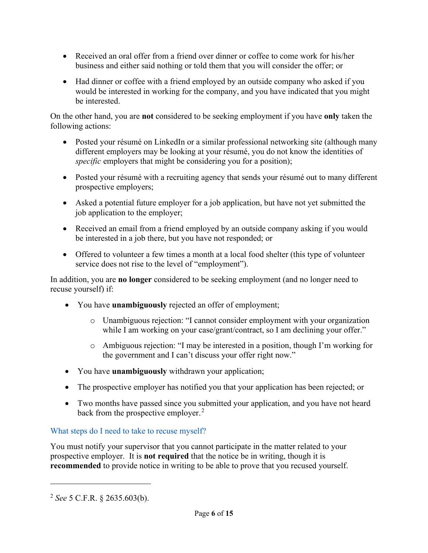- Received an oral offer from a friend over dinner or coffee to come work for his/her business and either said nothing or told them that you will consider the offer; or
- Had dinner or coffee with a friend employed by an outside company who asked if you would be interested in working for the company, and you have indicated that you might be interested.

On the other hand, you are **not** considered to be seeking employment if you have **only** taken the following actions:

- Posted your résumé on LinkedIn or a similar professional networking site (although many different employers may be looking at your résumé, you do not know the identities of *specific* employers that might be considering you for a position);
- Posted your résumé with a recruiting agency that sends your résumé out to many different prospective employers;
- Asked a potential future employer for a job application, but have not yet submitted the job application to the employer;
- Received an email from a friend employed by an outside company asking if you would be interested in a job there, but you have not responded; or
- Offered to volunteer a few times a month at a local food shelter (this type of volunteer service does not rise to the level of "employment").

In addition, you are **no longer** considered to be seeking employment (and no longer need to recuse yourself) if:

- You have **unambiguously** rejected an offer of employment;
	- o Unambiguous rejection: "I cannot consider employment with your organization while I am working on your case/grant/contract, so I am declining your offer."
	- o Ambiguous rejection: "I may be interested in a position, though I'm working for the government and I can't discuss your offer right now."
- You have **unambiguously** withdrawn your application;
- The prospective employer has notified you that your application has been rejected; or
- Two months have passed since you submitted your application, and you have not heard back from the prospective employer.<sup>2</sup>

#### What steps do I need to take to recuse myself?

You must notify your supervisor that you cannot participate in the matter related to your prospective employer. It is **not required** that the notice be in writing, though it is **recommended** to provide notice in writing to be able to prove that you recused yourself.

<sup>2</sup> *See* 5 C.F.R. § 2635.603(b).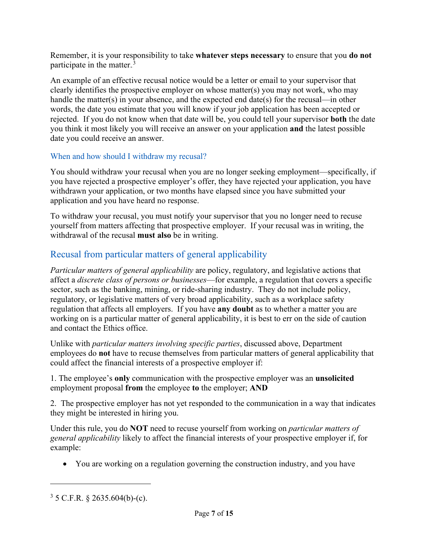Remember, it is your responsibility to take **whatever steps necessary** to ensure that you **do not** participate in the matter. $3$ 

An example of an effective recusal notice would be a letter or email to your supervisor that clearly identifies the prospective employer on whose matter(s) you may not work, who may handle the matter(s) in your absence, and the expected end date(s) for the recusal—in other words, the date you estimate that you will know if your job application has been accepted or rejected. If you do not know when that date will be, you could tell your supervisor **both** the date you think it most likely you will receive an answer on your application **and** the latest possible date you could receive an answer.

#### When and how should I withdraw my recusal?

You should withdraw your recusal when you are no longer seeking employment—specifically, if you have rejected a prospective employer's offer, they have rejected your application, you have withdrawn your application, or two months have elapsed since you have submitted your application and you have heard no response.

To withdraw your recusal, you must notify your supervisor that you no longer need to recuse yourself from matters affecting that prospective employer. If your recusal was in writing, the withdrawal of the recusal **must also** be in writing.

## Recusal from particular matters of general applicability

*Particular matters of general applicability* are policy, regulatory, and legislative actions that affect a *discrete class of persons or businesses*—for example, a regulation that covers a specific sector, such as the banking, mining, or ride-sharing industry. They do not include policy, regulatory, or legislative matters of very broad applicability, such as a workplace safety regulation that affects all employers. If you have **any doubt** as to whether a matter you are working on is a particular matter of general applicability, it is best to err on the side of caution and contact the Ethics office.

Unlike with *particular matters involving specific parties*, discussed above, Department employees do **not** have to recuse themselves from particular matters of general applicability that could affect the financial interests of a prospective employer if:

1. The employee's **only** communication with the prospective employer was an **unsolicited** employment proposal **from** the employee **to** the employer; **AND**

2. The prospective employer has not yet responded to the communication in a way that indicates they might be interested in hiring you.

Under this rule, you do **NOT** need to recuse yourself from working on *particular matters of general applicability* likely to affect the financial interests of your prospective employer if, for example:

• You are working on a regulation governing the construction industry, and you have

 $3 \text{ }5 \text{ }C.F.R. \text{ } § 2635.604(b)-(c).$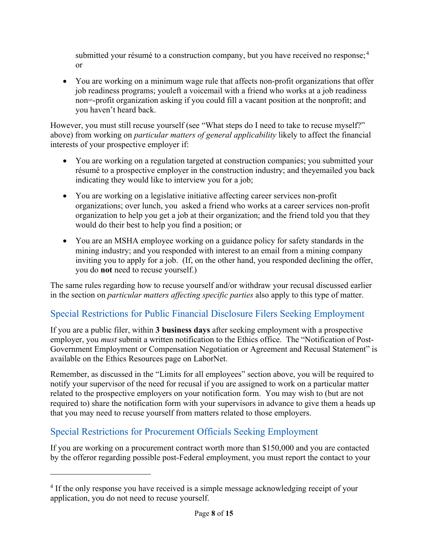submitted your résumé to a construction company, but you have received no response;  $4$ or

• You are working on a minimum wage rule that affects non-profit organizations that offer job readiness programs; youleft a voicemail with a friend who works at a job readiness non=-profit organization asking if you could fill a vacant position at the nonprofit; and you haven't heard back.

However, you must still recuse yourself (see "What steps do I need to take to recuse myself?" above) from working on *particular matters of general applicability* likely to affect the financial interests of your prospective employer if:

- You are working on a regulation targeted at construction companies; you submitted your résumé to a prospective employer in the construction industry; and theyemailed you back indicating they would like to interview you for a job;
- You are working on a legislative initiative affecting career services non-profit organizations; over lunch, you asked a friend who works at a career services non-profit organization to help you get a job at their organization; and the friend told you that they would do their best to help you find a position; or
- You are an MSHA employee working on a guidance policy for safety standards in the mining industry; and you responded with interest to an email from a mining company inviting you to apply for a job. (If, on the other hand, you responded declining the offer, you do **not** need to recuse yourself.)

The same rules regarding how to recuse yourself and/or withdraw your recusal discussed earlier in the section on *particular matters affecting specific parties* also apply to this type of matter.

## Special Restrictions for Public Financial Disclosure Filers Seeking Employment

If you are a public filer, within **3 business days** after seeking employment with a prospective employer, you *must* submit a written notification to the Ethics office. The "Notification of Post-Government Employment or Compensation Negotiation or Agreement and Recusal Statement" is available on the Ethics Resources page on LaborNet.

Remember, as discussed in the "Limits for all employees" section above, you will be required to notify your supervisor of the need for recusal if you are assigned to work on a particular matter related to the prospective employers on your notification form. You may wish to (but are not required to) share the notification form with your supervisors in advance to give them a heads up that you may need to recuse yourself from matters related to those employers.

## Special Restrictions for Procurement Officials Seeking Employment

If you are working on a procurement contract worth more than \$150,000 and you are contacted by the offeror regarding possible post-Federal employment, you must report the contact to your

<sup>&</sup>lt;sup>4</sup> If the only response you have received is a simple message acknowledging receipt of your application, you do not need to recuse yourself.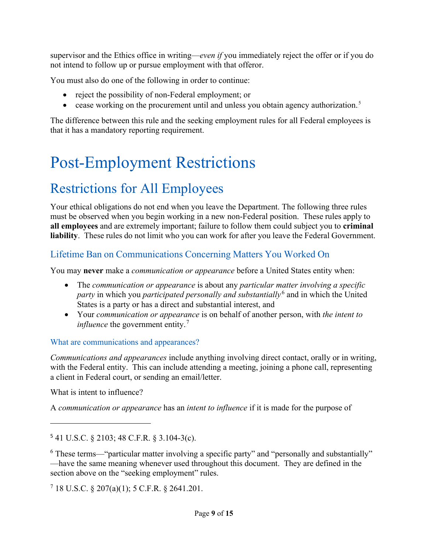supervisor and the Ethics office in writing—*even if* you immediately reject the offer or if you do not intend to follow up or pursue employment with that offeror.

You must also do one of the following in order to continue:

- reject the possibility of non-Federal employment; or
- cease working on the procurement until and unless you obtain agency authorization.<sup>5</sup>

The difference between this rule and the seeking employment rules for all Federal employees is that it has a mandatory reporting requirement.

# <span id="page-8-0"></span>Post-Employment Restrictions

# Restrictions for All Employees

Your ethical obligations do not end when you leave the Department. The following three rules must be observed when you begin working in a new non-Federal position. These rules apply to **all employees** and are extremely important; failure to follow them could subject you to **criminal liability**. These rules do not limit who you can work for after you leave the Federal Government.

## Lifetime Ban on Communications Concerning Matters You Worked On

You may **never** make a *communication or appearance* before a United States entity when:

- The *communication or appearance* is about any *particular matter involving a specific*  party in which you *participated personally and substantially*<sup>6</sup> and in which the United States is a party or has a direct and substantial interest, and
- Your *communication or appearance* is on behalf of another person, with *the intent to influence* the government entity.<sup>7</sup>

#### What are communications and appearances?

*Communications and appearances* include anything involving direct contact, orally or in writing, with the Federal entity. This can include attending a meeting, joining a phone call, representing a client in Federal court, or sending an email/letter.

What is intent to influence?

A *communication or appearance* has an *intent to influence* if it is made for the purpose of

 $7$  18 U.S.C. § 207(a)(1); 5 C.F.R. § 2641.201.

<sup>5</sup> 41 U.S.C. § 2103; 48 C.F.R. § 3.104-3(c).

<sup>&</sup>lt;sup>6</sup> These terms—"particular matter involving a specific party" and "personally and substantially" —have the same meaning whenever used throughout this document. They are defined in the section above on the "seeking employment" rules.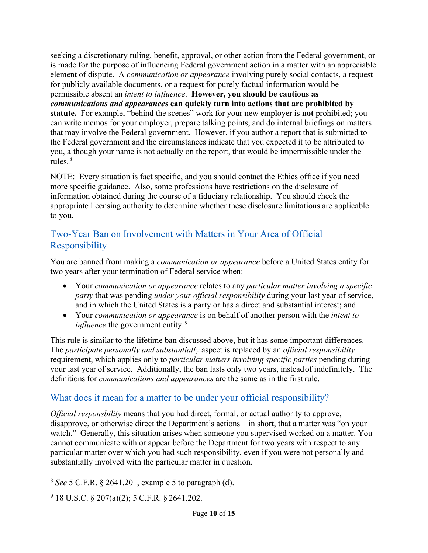seeking a discretionary ruling, benefit, approval, or other action from the Federal government, or is made for the purpose of influencing Federal government action in a matter with an appreciable element of dispute. A *communication or appearance* involving purely social contacts, a request for publicly available documents, or a request for purely factual information would be permissible absent an *intent to influence*. **However, you should be cautious as**  *communications and appearances* **can quickly turn into actions that are prohibited by statute.** For example, "behind the scenes" work for your new employer is **not** prohibited; you can write memos for your employer, prepare talking points, and do internal briefings on matters that may involve the Federal government. However, if you author a report that is submitted to the Federal government and the circumstances indicate that you expected it to be attributed to you, although your name is not actually on the report, that would be impermissible under the rules.<sup>8</sup>

NOTE: Every situation is fact specific, and you should contact the Ethics office if you need more specific guidance. Also, some professions have restrictions on the disclosure of information obtained during the course of a fiduciary relationship. You should check the appropriate licensing authority to determine whether these disclosure limitations are applicable to you.

## Two-Year Ban on Involvement with Matters in Your Area of Official Responsibility

You are banned from making a *communication or appearance* before a United States entity for two years after your termination of Federal service when:

- Your *communication or appearance* relates to any *particular matter involving a specific party* that was pending *under your official responsibility* during your last year of service, and in which the United States is a party or has a direct and substantial interest; and
- Your *communication or appearance* is on behalf of another person with the *intent to influence* the government entity.<sup>9</sup>

This rule is similar to the lifetime ban discussed above, but it has some important differences. The *participate personally and substantially* aspect is replaced by an *official responsibility* requirement, which applies only to *particular matters involving specific parties* pending during your last year of service. Additionally, the ban lasts only two years, insteadof indefinitely. The definitions for *communications and appearances* are the same as in the firstrule.

## What does it mean for a matter to be under your official responsibility?

*Official responsbility* means that you had direct, formal, or actual authority to approve, disapprove, or otherwise direct the Department's actions—in short, that a matter was "on your watch." Generally, this situation arises when someone you supervised worked on a matter. You cannot communicate with or appear before the Department for two years with respect to any particular matter over which you had such responsibility, even if you were not personally and substantially involved with the particular matter in question.

<sup>8</sup> *See* 5 C.F.R. § 2641.201, example 5 to paragraph (d).

 $9$  18 U.S.C. § 207(a)(2); 5 C.F.R. § 2641.202.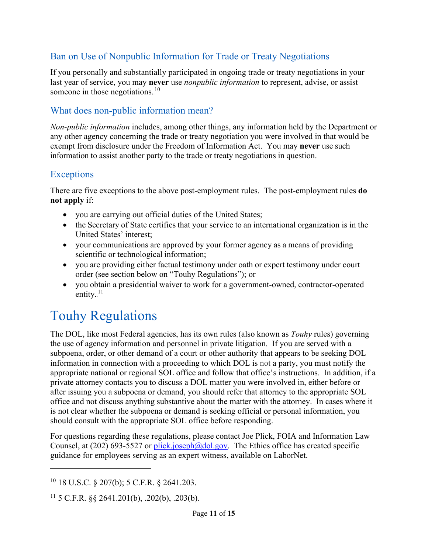## Ban on Use of Nonpublic Information for Trade or Treaty Negotiations

If you personally and substantially participated in ongoing trade or treaty negotiations in your last year of service, you may **never** use *nonpublic information* to represent, advise, or assist someone in those negotiations. $10$ 

## What does non-public information mean?

*Non-public information* includes, among other things, any information held by the Department or any other agency concerning the trade or treaty negotiation you were involved in that would be exempt from disclosure under the Freedom of Information Act. You may **never** use such information to assist another party to the trade or treaty negotiations in question.

## **Exceptions**

There are five exceptions to the above post-employment rules. The post-employment rules **do not apply** if:

- you are carrying out official duties of the United States;
- the Secretary of State certifies that your service to an international organization is in the United States' interest;
- your communications are approved by your former agency as a means of providing scientific or technological information;
- you are providing either factual testimony under oath or expert testimony under court order (see section below on "Touhy Regulations"); or
- you obtain a presidential waiver to work for a government-owned, contractor-operated entity. $^{11}$

## Touhy Regulations

The DOL, like most Federal agencies, has its own rules (also known as *Touhy* rules) governing the use of agency information and personnel in private litigation. If you are served with a subpoena, order, or other demand of a court or other authority that appears to be seeking DOL information in connection with a proceeding to which DOL is not a party, you must notify the appropriate national or regional SOL office and follow that office's instructions. In addition, if a private attorney contacts you to discuss a DOL matter you were involved in, either before or after issuing you a subpoena or demand, you should refer that attorney to the appropriate SOL office and not discuss anything substantive about the matter with the attorney. In cases where it is not clear whether the subpoena or demand is seeking official or personal information, you should consult with the appropriate SOL office before responding.

For questions regarding these regulations, please contact Joe Plick, FOIA and Information Law Counsel, at (202) 693-5527 or [plick.joseph@dol.gov.](mailto:plick.joseph@dol.gov) The Ethics office has created specific guidance for employees serving as an expert witness, available on LaborNet.

 $10$  18 U.S.C. § 207(b); 5 C.F.R. § 2641.203.

<sup>&</sup>lt;sup>11</sup> 5 C.F.R. §§ 2641.201(b), .202(b), .203(b).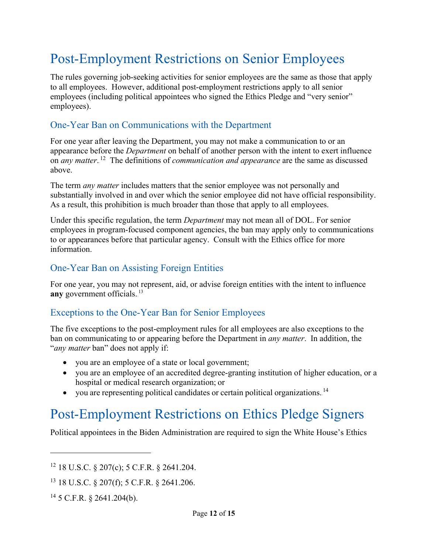# Post-Employment Restrictions on Senior Employees

The rules governing job-seeking activities for senior employees are the same as those that apply to all employees. However, additional post-employment restrictions apply to all senior employees (including political appointees who signed the Ethics Pledge and "very senior" employees).

#### One-Year Ban on Communications with the Department

For one year after leaving the Department, you may not make a communication to or an appearance before the *Department* on behalf of another person with the intent to exert influence on *any matter*.<sup>12</sup> The definitions of *communication and appearance* are the same as discussed above.

The term *any matter* includes matters that the senior employee was not personally and substantially involved in and over which the senior employee did not have official responsibility. As a result, this prohibition is much broader than those that apply to all employees.

Under this specific regulation, the term *Department* may not mean all of DOL. For senior employees in program-focused component agencies, the ban may apply only to communications to or appearances before that particular agency. Consult with the Ethics office for more information.

## One-Year Ban on Assisting Foreign Entities

For one year, you may not represent, aid, or advise foreign entities with the intent to influence any government officials.<sup>13</sup>

#### Exceptions to the One-Year Ban for Senior Employees

The five exceptions to the post-employment rules for all employees are also exceptions to the ban on communicating to or appearing before the Department in *any matter*. In addition, the "*any matter* ban" does not apply if:

- you are an employee of a state or local government;
- you are an employee of an accredited degree-granting institution of higher education, or a hospital or medical research organization; or
- you are representing political candidates or certain political organizations.<sup>14</sup>

## Post-Employment Restrictions on Ethics Pledge Signers

Political appointees in the Biden Administration are required to sign the White House's Ethics

 $12$  18 U.S.C. § 207(c); 5 C.F.R. § 2641.204.

<sup>13</sup> 18 U.S.C. § 207(f); 5 C.F.R. § 2641.206.

 $14$  5 C.F.R. § 2641.204(b).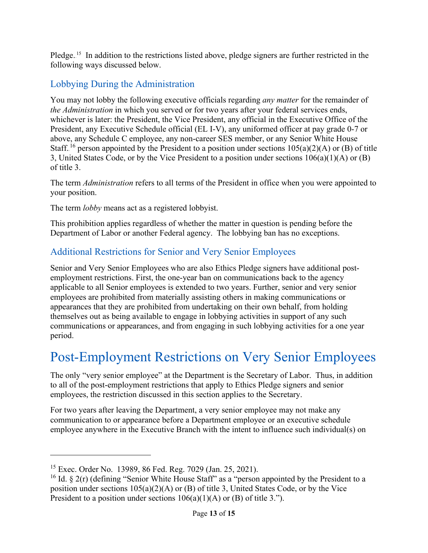Pledge.<sup>15</sup> In addition to the restrictions listed above, pledge signers are further restricted in the following ways discussed below.

## Lobbying During the Administration

You may not lobby the following executive officials regarding *any matter* for the remainder of *the Administration* in which you served or for two years after your federal services ends, whichever is later: the President, the Vice President, any official in the Executive Office of the President, any Executive Schedule official (EL I-V), any uniformed officer at pay grade 0-7 or above, any Schedule C employee, any non-career SES member, or any Senior White House Staff.<sup>16</sup> person appointed by the President to a position under sections  $105(a)(2)(A)$  or (B) of title 3, United States Code, or by the Vice President to a position under sections 106(a)(1)(A) or (B) of title 3.

The term *Administration* refers to all terms of the President in office when you were appointed to your position.

The term *lobby* means act as a registered lobbyist.

This prohibition applies regardless of whether the matter in question is pending before the Department of Labor or another Federal agency. The lobbying ban has no exceptions.

## Additional Restrictions for Senior and Very Senior Employees

Senior and Very Senior Employees who are also Ethics Pledge signers have additional postemployment restrictions. First, the one-year ban on communications back to the agency applicable to all Senior employees is extended to two years. Further, senior and very senior employees are prohibited from materially assisting others in making communications or appearances that they are prohibited from undertaking on their own behalf, from holding themselves out as being available to engage in lobbying activities in support of any such communications or appearances, and from engaging in such lobbying activities for a one year period.

# Post-Employment Restrictions on Very Senior Employees

The only "very senior employee" at the Department is the Secretary of Labor. Thus, in addition to all of the post-employment restrictions that apply to Ethics Pledge signers and senior employees, the restriction discussed in this section applies to the Secretary.

For two years after leaving the Department, a very senior employee may not make any communication to or appearance before a Department employee or an executive schedule employee anywhere in the Executive Branch with the intent to influence such individual(s) on

<sup>15</sup> Exec. Order No. 13989, 86 Fed. Reg. 7029 (Jan. 25, 2021).

<sup>&</sup>lt;sup>16</sup> Id.  $\frac{16}{16}$  2(r) (defining "Senior White House Staff" as a "person appointed by the President to a position under sections  $105(a)(2)(A)$  or (B) of title 3, United States Code, or by the Vice President to a position under sections  $106(a)(1)(A)$  or (B) of title 3.").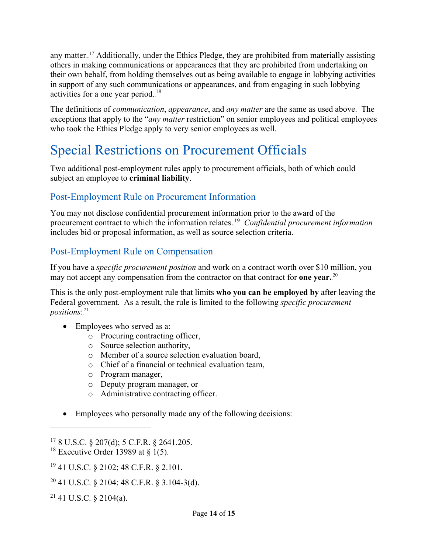any matter.<sup>17</sup> Additionally, under the Ethics Pledge, they are prohibited from materially assisting others in making communications or appearances that they are prohibited from undertaking on their own behalf, from holding themselves out as being available to engage in lobbying activities in support of any such communications or appearances, and from engaging in such lobbying activities for a one year period.<sup>18</sup>

The definitions of *communication*, *appearance*, and *any matter* are the same as used above. The exceptions that apply to the "*any matter* restriction" on senior employees and political employees who took the Ethics Pledge apply to very senior employees as well.

# Special Restrictions on Procurement Officials

Two additional post-employment rules apply to procurement officials, both of which could subject an employee to **criminal liability**.

## Post-Employment Rule on Procurement Information

You may not disclose confidential procurement information prior to the award of the procurement contract to which the information relates.<sup>19</sup> *Confidential procurement information* includes bid or proposal information, as well as source selection criteria.

#### Post-Employment Rule on Compensation

If you have a *specific procurement position* and work on a contract worth over \$10 million, you may not accept any compensation from the contractor on that contract for **one year.**<sup>20</sup>

This is the only post-employment rule that limits **who you can be employed by** after leaving the Federal government. As a result, the rule is limited to the following *specific procurement*  positions:.<sup>21</sup>

- Employees who served as a:
	- o Procuring contracting officer,
	- o Source selection authority,
	- o Member of a source selection evaluation board,
	- o Chief of a financial or technical evaluation team,
	- o Program manager,
	- o Deputy program manager, or
	- o Administrative contracting officer.
- Employees who personally made any of the following decisions:

<sup>17</sup> 8 U.S.C. § 207(d); 5 C.F.R. § 2641.205.

<sup>&</sup>lt;sup>18</sup> Executive Order 13989 at  $\delta$  1(5).

<sup>19</sup> 41 U.S.C. § 2102; 48 C.F.R. § 2.101.

 $20$  41 U.S.C. § 2104; 48 C.F.R. § 3.104-3(d).

 $21$  41 U.S.C. § 2104(a).